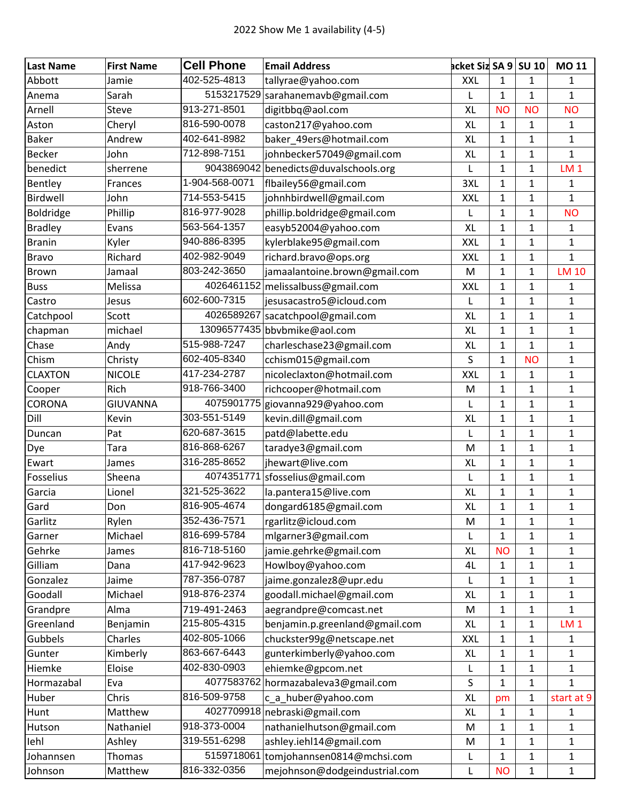| <b>Last Name</b> | <b>First Name</b> | <b>Cell Phone</b> | <b>Email Address</b>                  | acket Siz SA 9 SU 10 |              |              | <b>MO 11</b>    |
|------------------|-------------------|-------------------|---------------------------------------|----------------------|--------------|--------------|-----------------|
| Abbott           | Jamie             | 402-525-4813      | tallyrae@yahoo.com                    | <b>XXL</b>           | 1            | $\mathbf{1}$ | 1               |
| Anema            | Sarah             | 5153217529        | sarahanemavb@gmail.com                | L                    | 1            | 1            | $\mathbf{1}$    |
| Arnell           | Steve             | 913-271-8501      | digitbbq@aol.com                      | <b>XL</b>            | <b>NO</b>    | <b>NO</b>    | <b>NO</b>       |
| Aston            | Cheryl            | 816-590-0078      | caston217@yahoo.com                   | <b>XL</b>            | 1            | 1            | 1               |
| <b>Baker</b>     | Andrew            | 402-641-8982      | baker_49ers@hotmail.com               | <b>XL</b>            | 1            | $\mathbf{1}$ | $\mathbf{1}$    |
| <b>Becker</b>    | John              | 712-898-7151      | johnbecker57049@gmail.com             | XL                   | 1            | $\mathbf{1}$ | 1               |
| benedict         | sherrene          | 9043869042        | benedicts@duvalschools.org            | L                    | 1            | $\mathbf 1$  | LM <sub>1</sub> |
| Bentley          | Frances           | 1-904-568-0071    | flbailey56@gmail.com                  | 3XL                  | $\mathbf{1}$ | $\mathbf{1}$ | $\mathbf{1}$    |
| Birdwell         | John              | 714-553-5415      | johnhbirdwell@gmail.com               | <b>XXL</b>           | 1            | 1            | 1               |
| <b>Boldridge</b> | Phillip           | 816-977-9028      | phillip.boldridge@gmail.com           | L                    | 1            | 1            | <b>NO</b>       |
| <b>Bradley</b>   | Evans             | 563-564-1357      | easyb52004@yahoo.com                  | <b>XL</b>            | 1            | $\mathbf 1$  | $\mathbf{1}$    |
| <b>Branin</b>    | Kyler             | 940-886-8395      | kylerblake95@gmail.com                | <b>XXL</b>           | 1            | $\mathbf 1$  | $\mathbf{1}$    |
| <b>Bravo</b>     | Richard           | 402-982-9049      | richard.bravo@ops.org                 | <b>XXL</b>           | 1            | $\mathbf{1}$ | $\mathbf{1}$    |
| Brown            | Jamaal            | 803-242-3650      | jamaalantoine.brown@gmail.com         | M                    | 1            | $\mathbf{1}$ | <b>LM 10</b>    |
| <b>Buss</b>      | Melissa           |                   | 4026461152 melissalbuss@gmail.com     | <b>XXL</b>           | 1            | $\mathbf{1}$ | 1               |
| Castro           | Jesus             | 602-600-7315      | jesusacastro5@icloud.com              | L                    | 1            | 1            | $\mathbf{1}$    |
| Catchpool        | Scott             | 4026589267        | sacatchpool@gmail.com                 | <b>XL</b>            | 1            | $\mathbf{1}$ | 1               |
| chapman          | michael           |                   | 13096577435 bbvbmike@aol.com          | <b>XL</b>            | $\mathbf{1}$ | $\mathbf{1}$ | $\mathbf{1}$    |
| Chase            | Andy              | 515-988-7247      | charleschase23@gmail.com              | XL                   | 1            | 1            | 1               |
| Chism            | Christy           | 602-405-8340      | cchism015@gmail.com                   | S                    | 1            | <b>NO</b>    | 1               |
| <b>CLAXTON</b>   | <b>NICOLE</b>     | 417-234-2787      | nicoleclaxton@hotmail.com             | <b>XXL</b>           | $\mathbf{1}$ | $\mathbf{1}$ | $\mathbf{1}$    |
| Cooper           | Rich              | 918-766-3400      | richcooper@hotmail.com                | M                    | 1            | $\mathbf{1}$ | 1               |
| <b>CORONA</b>    | <b>GIUVANNA</b>   |                   | 4075901775 giovanna929@yahoo.com      | L                    | $\mathbf 1$  | $\mathbf 1$  | $\mathbf{1}$    |
| Dill             | Kevin             | 303-551-5149      | kevin.dill@gmail.com                  | <b>XL</b>            | 1            | $\mathbf 1$  | $\mathbf{1}$    |
| Duncan           | Pat               | 620-687-3615      | patd@labette.edu                      | L                    | 1            | $\mathbf{1}$ | $\mathbf{1}$    |
| Dye              | Tara              | 816-868-6267      | taradye3@gmail.com                    | M                    | $\mathbf{1}$ | $\mathbf 1$  | 1               |
| Ewart            | James             | 316-285-8652      | jhewart@live.com                      | XL                   | $\mathbf{1}$ | $\mathbf{1}$ | 1               |
| Fosselius        | Sheena            | 4074351771        | sfosselius@gmail.com                  | L                    | 1            | $\mathbf{1}$ | $\mathbf{1}$    |
| Garcia           | Lionel            | 321-525-3622      | la.pantera15@live.com                 | <b>XL</b>            | 1            | 1            | 1               |
| Gard             | Don               | 816-905-4674      | dongard6185@gmail.com                 | XL                   | $\mathbf 1$  | 1            | $\mathbf{1}$    |
| Garlitz          | Rylen             | 352-436-7571      | rgarlitz@icloud.com                   | M                    | 1            | 1            | 1               |
| Garner           | Michael           | 816-699-5784      | mlgarner3@gmail.com                   | L                    | 1            | $\mathbf{1}$ | 1               |
| Gehrke           | James             | 816-718-5160      | jamie.gehrke@gmail.com                | <b>XL</b>            | <b>NO</b>    | $\mathbf{1}$ | 1               |
| Gilliam          | Dana              | 417-942-9623      | Howlboy@yahoo.com                     | 4L                   | 1            | $\mathbf{1}$ | 1               |
| Gonzalez         | Jaime             | 787-356-0787      | jaime.gonzalez8@upr.edu               | L                    | 1            | $\mathbf 1$  | 1               |
| Goodall          | Michael           | 918-876-2374      | goodall.michael@gmail.com             | <b>XL</b>            | 1            | $\mathbf 1$  | 1               |
| Grandpre         | Alma              | 719-491-2463      | aegrandpre@comcast.net                | M                    | 1            | $\mathbf{1}$ | 1               |
| Greenland        | Benjamin          | 215-805-4315      | benjamin.p.greenland@gmail.com        | XL                   | 1            | $\mathbf{1}$ | LM <sub>1</sub> |
| Gubbels          | Charles           | 402-805-1066      | chuckster99g@netscape.net             | <b>XXL</b>           | 1            | $\mathbf{1}$ | 1               |
| Gunter           | Kimberly          | 863-667-6443      | gunterkimberly@yahoo.com              | <b>XL</b>            | $\mathbf{1}$ | $\mathbf{1}$ | 1               |
| Hiemke           | Eloise            | 402-830-0903      | ehiemke@gpcom.net                     | L                    | 1            | $\mathbf 1$  | 1               |
| Hormazabal       | Eva               | 4077583762        | hormazabaleva3@gmail.com              | S                    | 1            | $\mathbf{1}$ | $\mathbf{1}$    |
| Huber            | Chris             | 816-509-9758      | c_a_huber@yahoo.com                   | <b>XL</b>            | pm           | $\mathbf{1}$ | start at 9      |
| Hunt             | Matthew           |                   | 4027709918 nebraski@gmail.com         | <b>XL</b>            | 1            | $\mathbf{1}$ | 1               |
| Hutson           | Nathaniel         | 918-373-0004      | nathanielhutson@gmail.com             | M                    | 1            | $\mathbf{1}$ | 1               |
| lehl             | Ashley            | 319-551-6298      | ashley.iehl14@gmail.com               | M                    | 1            | $\mathbf{1}$ | 1               |
| Johannsen        | Thomas            |                   | 5159718061 tomjohannsen0814@mchsi.com | L                    | 1            | $\mathbf{1}$ | 1               |
| Johnson          | Matthew           | 816-332-0356      | mejohnson@dodgeindustrial.com         | L                    | <b>NO</b>    | $\mathbf{1}$ | $\mathbf{1}$    |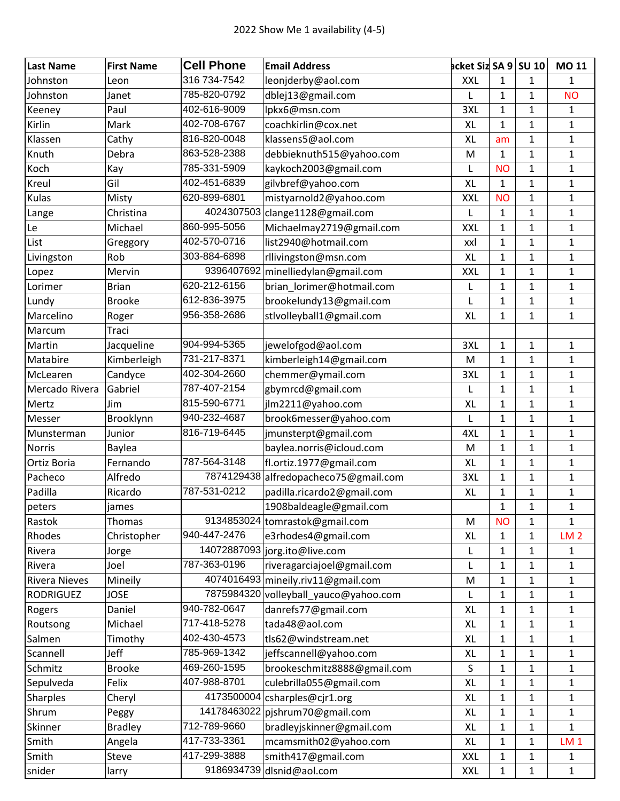| <b>Last Name</b>     | <b>First Name</b> | <b>Cell Phone</b> | <b>Email Address</b>                  | acket Siz SA 9 SU 10 |              |              | <b>MO 11</b>    |
|----------------------|-------------------|-------------------|---------------------------------------|----------------------|--------------|--------------|-----------------|
| Johnston             | Leon              | 316 734-7542      | leonjderby@aol.com                    | <b>XXL</b>           | 1            | 1            | $\mathbf{1}$    |
| Johnston             | Janet             | 785-820-0792      | dblej13@gmail.com                     | L                    | 1            | $\mathbf{1}$ | <b>NO</b>       |
| Keeney               | Paul              | 402-616-9009      | lpkx6@msn.com                         | 3XL                  | 1            | $\mathbf{1}$ | $\mathbf{1}$    |
| Kirlin               | Mark              | 402-708-6767      | coachkirlin@cox.net                   | XL                   | 1            | $\mathbf{1}$ | $\mathbf{1}$    |
| Klassen              | Cathy             | 816-820-0048      | klassens5@aol.com                     | XL                   | am           | 1            | $\mathbf{1}$    |
| Knuth                | Debra             | 863-528-2388      | debbieknuth515@yahoo.com              | M                    | 1            | $\mathbf{1}$ | $\mathbf{1}$    |
| Koch                 | Kay               | 785-331-5909      | kaykoch2003@gmail.com                 | L                    | <b>NO</b>    | $\mathbf{1}$ | $\mathbf{1}$    |
| Kreul                | Gil               | 402-451-6839      | gilvbref@yahoo.com                    | XL                   | $\mathbf{1}$ | $\mathbf{1}$ | $\mathbf{1}$    |
| Kulas                | Misty             | 620-899-6801      | mistyarnold2@yahoo.com                | <b>XXL</b>           | <b>NO</b>    | $\mathbf{1}$ | 1               |
| Lange                | Christina         | 4024307503        | clange1128@gmail.com                  | L                    | $\mathbf{1}$ | $\mathbf{1}$ | $\mathbf{1}$    |
| Le                   | Michael           | 860-995-5056      | Michaelmay2719@gmail.com              | <b>XXL</b>           | $\mathbf{1}$ | $\mathbf{1}$ | $\mathbf{1}$    |
| List                 | Greggory          | 402-570-0716      | list2940@hotmail.com                  | xxl                  | 1            | $\mathbf{1}$ | $\mathbf 1$     |
| Livingston           | Rob               | 303-884-6898      | rllivingston@msn.com                  | XL                   | $\mathbf{1}$ | $\mathbf{1}$ | $\mathbf{1}$    |
| Lopez                | Mervin            | 9396407692        | minelliedylan@gmail.com               | <b>XXL</b>           | $\mathbf{1}$ | $\mathbf{1}$ | $\mathbf{1}$    |
| Lorimer              | <b>Brian</b>      | 620-212-6156      | brian_lorimer@hotmail.com             | L                    | $\mathbf{1}$ | $\mathbf{1}$ | $\mathbf 1$     |
| Lundy                | <b>Brooke</b>     | 612-836-3975      | brookelundy13@gmail.com               | L                    | $\mathbf{1}$ | $\mathbf{1}$ | $\mathbf{1}$    |
| Marcelino            | Roger             | 956-358-2686      | stlvolleyball1@gmail.com              | <b>XL</b>            | 1            | $\mathbf{1}$ | $\mathbf 1$     |
| Marcum               | Traci             |                   |                                       |                      |              |              |                 |
| Martin               | Jacqueline        | 904-994-5365      | jewelofgod@aol.com                    | 3XL                  | $\mathbf{1}$ | $\mathbf{1}$ | $\mathbf{1}$    |
| Matabire             | Kimberleigh       | 731-217-8371      | kimberleigh14@gmail.com               | M                    | $\mathbf{1}$ | $\mathbf{1}$ | $\mathbf{1}$    |
| McLearen             | Candyce           | 402-304-2660      | chemmer@ymail.com                     | 3XL                  | 1            | $\mathbf{1}$ | $\mathbf 1$     |
| Mercado Rivera       | Gabriel           | 787-407-2154      | gbymrcd@gmail.com                     | L                    | 1            | $\mathbf{1}$ | $\mathbf{1}$    |
| Mertz                | Jim               | 815-590-6771      | jlm2211@yahoo.com                     | XL                   | 1            | $\mathbf{1}$ | $\mathbf{1}$    |
| Messer               | Brooklynn         | 940-232-4687      | brook6messer@yahoo.com                | L                    | 1            | 1            | 1               |
| Munsterman           | Junior            | 816-719-6445      | jmunsterpt@gmail.com                  | 4XL                  | 1            | $\mathbf{1}$ | $\mathbf{1}$    |
| <b>Norris</b>        | Baylea            |                   | baylea.norris@icloud.com              | M                    | $\mathbf{1}$ | $\mathbf{1}$ | $\mathbf{1}$    |
| Ortiz Boria          | Fernando          | 787-564-3148      | fl.ortiz.1977@gmail.com               | <b>XL</b>            | $\mathbf{1}$ | $\mathbf{1}$ | $\mathbf{1}$    |
| Pacheco              | Alfredo           | 7874129438        | alfredopacheco75@gmail.com            | 3XL                  | 1            | $\mathbf{1}$ | $\mathbf{1}$    |
| Padilla              | Ricardo           | 787-531-0212      | padilla.ricardo2@gmail.com            | XL                   | $\mathbf{1}$ | $\mathbf{1}$ | $\mathbf{1}$    |
| peters               | james             |                   | 1908baldeagle@gmail.com               |                      | $\mathbf{1}$ | $\mathbf{1}$ | $\overline{1}$  |
| Rastok               | Thomas            |                   | 9134853024 tomrastok@gmail.com        | M                    | <b>NO</b>    | 1            | $\mathbf{1}$    |
| Rhodes               | Christopher       | 940-447-2476      | e3rhodes4@gmail.com                   | XL                   | 1            | $\mathbf{1}$ | LM <sub>2</sub> |
| Rivera               | Jorge             |                   | 14072887093 jorg.ito@live.com         | L                    | $\mathbf{1}$ | $\mathbf{1}$ | 1               |
| Rivera               | Joel              | 787-363-0196      | riveragarciajoel@gmail.com            | L                    | $\mathbf{1}$ | $\mathbf{1}$ | 1               |
| <b>Rivera Nieves</b> | Mineily           |                   | 4074016493 mineily.riv11@gmail.com    | M                    | 1            | $\mathbf{1}$ | 1               |
| <b>RODRIGUEZ</b>     | <b>JOSE</b>       |                   | 7875984320 volleyball_yauco@yahoo.com | L                    | $\mathbf{1}$ | $\mathbf{1}$ | 1               |
| Rogers               | Daniel            | 940-782-0647      | danrefs77@gmail.com                   | <b>XL</b>            | 1            | $\mathbf{1}$ | 1               |
| Routsong             | Michael           | 717-418-5278      | tada48@aol.com                        | XL                   | $\mathbf{1}$ | $\mathbf{1}$ | $\mathbf{1}$    |
| Salmen               | Timothy           | 402-430-4573      | tls62@windstream.net                  | <b>XL</b>            | $\mathbf{1}$ | $\mathbf{1}$ | $\mathbf{1}$    |
| Scannell             | Jeff              | 785-969-1342      | jeffscannell@yahoo.com                | XL                   | 1            | $\mathbf{1}$ | 1               |
| Schmitz              | <b>Brooke</b>     | 469-260-1595      | brookeschmitz8888@gmail.com           | S                    | $\mathbf{1}$ | $\mathbf{1}$ | 1               |
| Sepulveda            | Felix             | 407-988-8701      | culebrilla055@gmail.com               | XL                   | $\mathbf{1}$ | $\mathbf{1}$ | $\mathbf{1}$    |
| Sharples             | Cheryl            | 4173500004        | csharples@cjr1.org                    | <b>XL</b>            | 1            | $\mathbf{1}$ | 1               |
| Shrum                | Peggy             | 14178463022       | pjshrum70@gmail.com                   | XL                   | 1            | $\mathbf 1$  | $\mathbf{1}$    |
| Skinner              | <b>Bradley</b>    | 712-789-9660      | bradleyjskinner@gmail.com             | XL                   | $\mathbf{1}$ | $\mathbf{1}$ | $\mathbf{1}$    |
| Smith                | Angela            | 417-733-3361      | mcamsmith02@yahoo.com                 | XL                   | 1            | $\mathbf{1}$ | LM <sub>1</sub> |
| Smith                | Steve             | 417-299-3888      | smith417@gmail.com                    | <b>XXL</b>           | 1            | $\mathbf{1}$ | 1               |
| snider               | larry             |                   | 9186934739 dlsnid@aol.com             | <b>XXL</b>           | $\mathbf{1}$ | $\mathbf{1}$ | $\mathbf{1}$    |